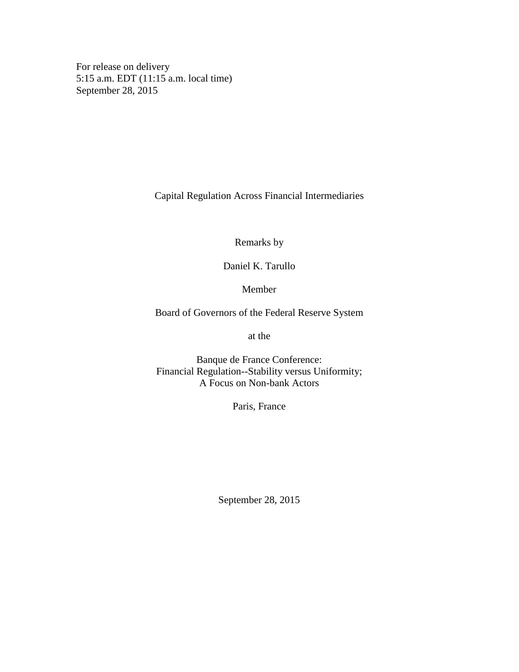For release on delivery 5:15 a.m. EDT (11:15 a.m. local time) September 28, 2015

Capital Regulation Across Financial Intermediaries

Remarks by

Daniel K. Tarullo

Member

Board of Governors of the Federal Reserve System

at the

Banque de France Conference: Financial Regulation--Stability versus Uniformity; A Focus on Non-bank Actors

Paris, France

September 28, 2015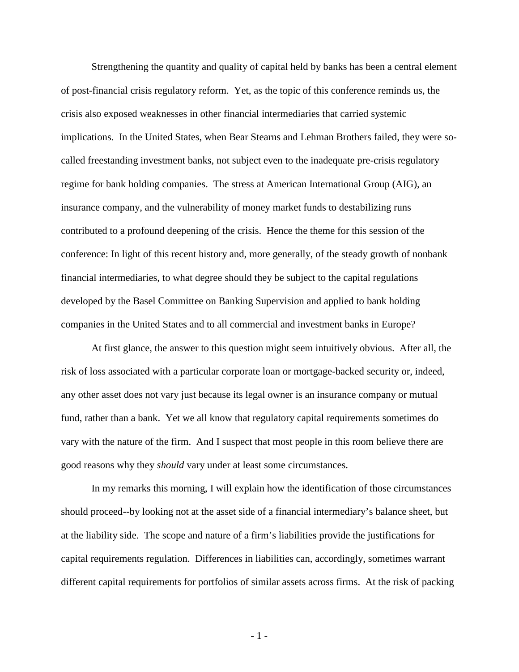Strengthening the quantity and quality of capital held by banks has been a central element of post-financial crisis regulatory reform. Yet, as the topic of this conference reminds us, the crisis also exposed weaknesses in other financial intermediaries that carried systemic implications. In the United States, when Bear Stearns and Lehman Brothers failed, they were socalled freestanding investment banks, not subject even to the inadequate pre-crisis regulatory regime for bank holding companies. The stress at American International Group (AIG), an insurance company, and the vulnerability of money market funds to destabilizing runs contributed to a profound deepening of the crisis. Hence the theme for this session of the conference: In light of this recent history and, more generally, of the steady growth of nonbank financial intermediaries, to what degree should they be subject to the capital regulations developed by the Basel Committee on Banking Supervision and applied to bank holding companies in the United States and to all commercial and investment banks in Europe?

At first glance, the answer to this question might seem intuitively obvious. After all, the risk of loss associated with a particular corporate loan or mortgage-backed security or, indeed, any other asset does not vary just because its legal owner is an insurance company or mutual fund, rather than a bank. Yet we all know that regulatory capital requirements sometimes do vary with the nature of the firm. And I suspect that most people in this room believe there are good reasons why they *should* vary under at least some circumstances.

In my remarks this morning, I will explain how the identification of those circumstances should proceed--by looking not at the asset side of a financial intermediary's balance sheet, but at the liability side. The scope and nature of a firm's liabilities provide the justifications for capital requirements regulation. Differences in liabilities can, accordingly, sometimes warrant different capital requirements for portfolios of similar assets across firms. At the risk of packing

- 1 -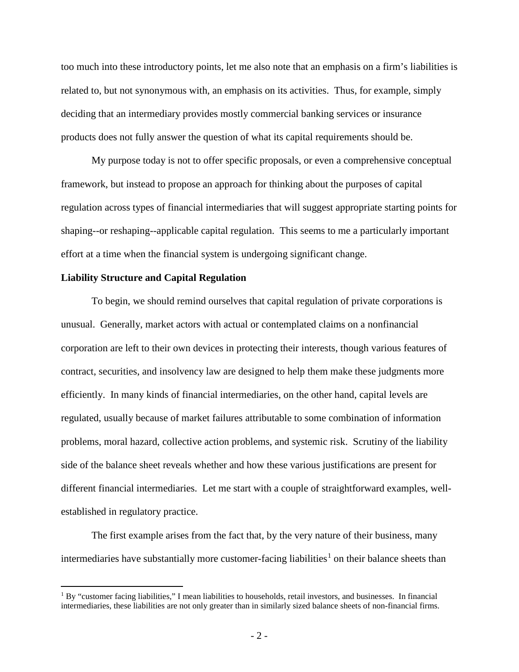too much into these introductory points, let me also note that an emphasis on a firm's liabilities is related to, but not synonymous with, an emphasis on its activities. Thus, for example, simply deciding that an intermediary provides mostly commercial banking services or insurance products does not fully answer the question of what its capital requirements should be.

My purpose today is not to offer specific proposals, or even a comprehensive conceptual framework, but instead to propose an approach for thinking about the purposes of capital regulation across types of financial intermediaries that will suggest appropriate starting points for shaping--or reshaping--applicable capital regulation. This seems to me a particularly important effort at a time when the financial system is undergoing significant change.

## **Liability Structure and Capital Regulation**

To begin, we should remind ourselves that capital regulation of private corporations is unusual. Generally, market actors with actual or contemplated claims on a nonfinancial corporation are left to their own devices in protecting their interests, though various features of contract, securities, and insolvency law are designed to help them make these judgments more efficiently. In many kinds of financial intermediaries, on the other hand, capital levels are regulated, usually because of market failures attributable to some combination of information problems, moral hazard, collective action problems, and systemic risk. Scrutiny of the liability side of the balance sheet reveals whether and how these various justifications are present for different financial intermediaries. Let me start with a couple of straightforward examples, wellestablished in regulatory practice.

The first example arises from the fact that, by the very nature of their business, many intermediaries have substantially more customer-facing liabilities<sup>[1](#page-2-0)</sup> on their balance sheets than

<span id="page-2-0"></span> $1$  By "customer facing liabilities," I mean liabilities to households, retail investors, and businesses. In financial intermediaries, these liabilities are not only greater than in similarly sized balance sheets of non-financial firms.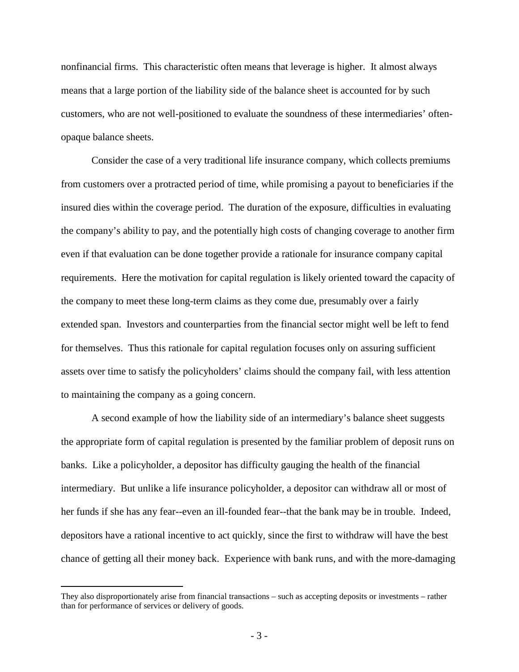nonfinancial firms. This characteristic often means that leverage is higher. It almost always means that a large portion of the liability side of the balance sheet is accounted for by such customers, who are not well-positioned to evaluate the soundness of these intermediaries' oftenopaque balance sheets.

Consider the case of a very traditional life insurance company, which collects premiums from customers over a protracted period of time, while promising a payout to beneficiaries if the insured dies within the coverage period. The duration of the exposure, difficulties in evaluating the company's ability to pay, and the potentially high costs of changing coverage to another firm even if that evaluation can be done together provide a rationale for insurance company capital requirements. Here the motivation for capital regulation is likely oriented toward the capacity of the company to meet these long-term claims as they come due, presumably over a fairly extended span. Investors and counterparties from the financial sector might well be left to fend for themselves. Thus this rationale for capital regulation focuses only on assuring sufficient assets over time to satisfy the policyholders' claims should the company fail, with less attention to maintaining the company as a going concern.

A second example of how the liability side of an intermediary's balance sheet suggests the appropriate form of capital regulation is presented by the familiar problem of deposit runs on banks. Like a policyholder, a depositor has difficulty gauging the health of the financial intermediary. But unlike a life insurance policyholder, a depositor can withdraw all or most of her funds if she has any fear--even an ill-founded fear--that the bank may be in trouble. Indeed, depositors have a rational incentive to act quickly, since the first to withdraw will have the best chance of getting all their money back. Experience with bank runs, and with the more-damaging

 $\overline{a}$ 

They also disproportionately arise from financial transactions – such as accepting deposits or investments – rather than for performance of services or delivery of goods.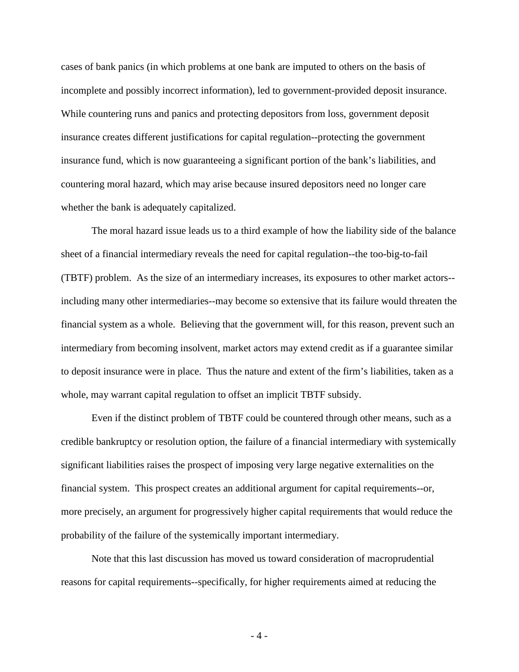cases of bank panics (in which problems at one bank are imputed to others on the basis of incomplete and possibly incorrect information), led to government-provided deposit insurance. While countering runs and panics and protecting depositors from loss, government deposit insurance creates different justifications for capital regulation--protecting the government insurance fund, which is now guaranteeing a significant portion of the bank's liabilities, and countering moral hazard, which may arise because insured depositors need no longer care whether the bank is adequately capitalized.

The moral hazard issue leads us to a third example of how the liability side of the balance sheet of a financial intermediary reveals the need for capital regulation--the too-big-to-fail (TBTF) problem. As the size of an intermediary increases, its exposures to other market actors- including many other intermediaries--may become so extensive that its failure would threaten the financial system as a whole. Believing that the government will, for this reason, prevent such an intermediary from becoming insolvent, market actors may extend credit as if a guarantee similar to deposit insurance were in place. Thus the nature and extent of the firm's liabilities, taken as a whole, may warrant capital regulation to offset an implicit TBTF subsidy.

Even if the distinct problem of TBTF could be countered through other means, such as a credible bankruptcy or resolution option, the failure of a financial intermediary with systemically significant liabilities raises the prospect of imposing very large negative externalities on the financial system. This prospect creates an additional argument for capital requirements--or, more precisely, an argument for progressively higher capital requirements that would reduce the probability of the failure of the systemically important intermediary.

Note that this last discussion has moved us toward consideration of macroprudential reasons for capital requirements--specifically, for higher requirements aimed at reducing the

- 4 -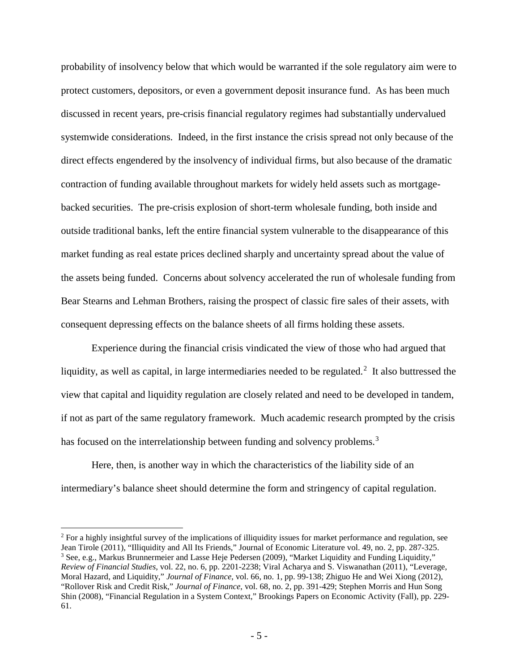probability of insolvency below that which would be warranted if the sole regulatory aim were to protect customers, depositors, or even a government deposit insurance fund. As has been much discussed in recent years, pre-crisis financial regulatory regimes had substantially undervalued systemwide considerations. Indeed, in the first instance the crisis spread not only because of the direct effects engendered by the insolvency of individual firms, but also because of the dramatic contraction of funding available throughout markets for widely held assets such as mortgagebacked securities. The pre-crisis explosion of short-term wholesale funding, both inside and outside traditional banks, left the entire financial system vulnerable to the disappearance of this market funding as real estate prices declined sharply and uncertainty spread about the value of the assets being funded. Concerns about solvency accelerated the run of wholesale funding from Bear Stearns and Lehman Brothers, raising the prospect of classic fire sales of their assets, with consequent depressing effects on the balance sheets of all firms holding these assets.

Experience during the financial crisis vindicated the view of those who had argued that liquidity, as well as capital, in large intermediaries needed to be regulated.<sup>[2](#page-5-0)</sup> It also buttressed the view that capital and liquidity regulation are closely related and need to be developed in tandem, if not as part of the same regulatory framework. Much academic research prompted by the crisis has focused on the interrelationship between funding and solvency problems.<sup>[3](#page-5-1)</sup>

Here, then, is another way in which the characteristics of the liability side of an intermediary's balance sheet should determine the form and stringency of capital regulation.

<span id="page-5-1"></span><span id="page-5-0"></span> $2$  For a highly insightful survey of the implications of illiquidity issues for market performance and regulation, see Jean Tirole (2011), "Illiquidity and All Its Friends," Journal of Economic Literature vol. 49, no. 2, pp. 287-325. <sup>3</sup> See, e.g., Markus Brunnermeier and Lasse Heje Pedersen (2009), "Market Liquidity and Funding Liquidity," *Review of Financial Studies*, vol. 22, no. 6, pp. 2201-2238; Viral Acharya and S. Viswanathan (2011), "Leverage, Moral Hazard, and Liquidity," *Journal of Finance*, vol. 66, no. 1, pp. 99-138; Zhiguo He and Wei Xiong (2012), "Rollover Risk and Credit Risk," *Journal of Finance*, vol. 68, no. 2, pp. 391-429; Stephen Morris and Hun Song Shin (2008), "Financial Regulation in a System Context," Brookings Papers on Economic Activity (Fall), pp. 229- 61.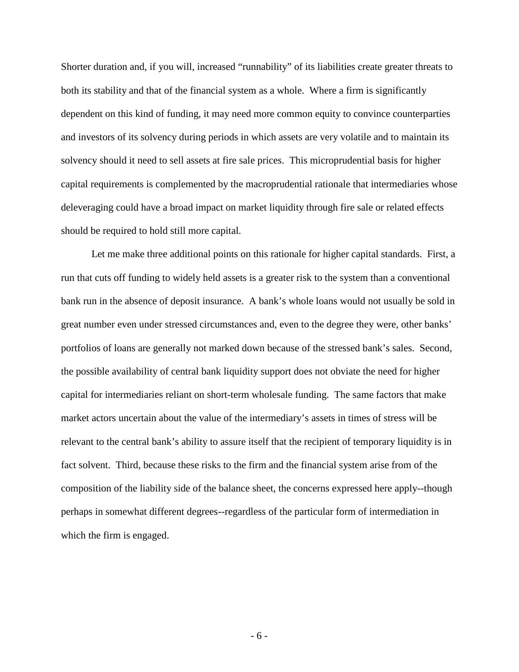Shorter duration and, if you will, increased "runnability" of its liabilities create greater threats to both its stability and that of the financial system as a whole. Where a firm is significantly dependent on this kind of funding, it may need more common equity to convince counterparties and investors of its solvency during periods in which assets are very volatile and to maintain its solvency should it need to sell assets at fire sale prices. This microprudential basis for higher capital requirements is complemented by the macroprudential rationale that intermediaries whose deleveraging could have a broad impact on market liquidity through fire sale or related effects should be required to hold still more capital.

Let me make three additional points on this rationale for higher capital standards. First, a run that cuts off funding to widely held assets is a greater risk to the system than a conventional bank run in the absence of deposit insurance. A bank's whole loans would not usually be sold in great number even under stressed circumstances and, even to the degree they were, other banks' portfolios of loans are generally not marked down because of the stressed bank's sales. Second, the possible availability of central bank liquidity support does not obviate the need for higher capital for intermediaries reliant on short-term wholesale funding. The same factors that make market actors uncertain about the value of the intermediary's assets in times of stress will be relevant to the central bank's ability to assure itself that the recipient of temporary liquidity is in fact solvent. Third, because these risks to the firm and the financial system arise from of the composition of the liability side of the balance sheet, the concerns expressed here apply--though perhaps in somewhat different degrees--regardless of the particular form of intermediation in which the firm is engaged.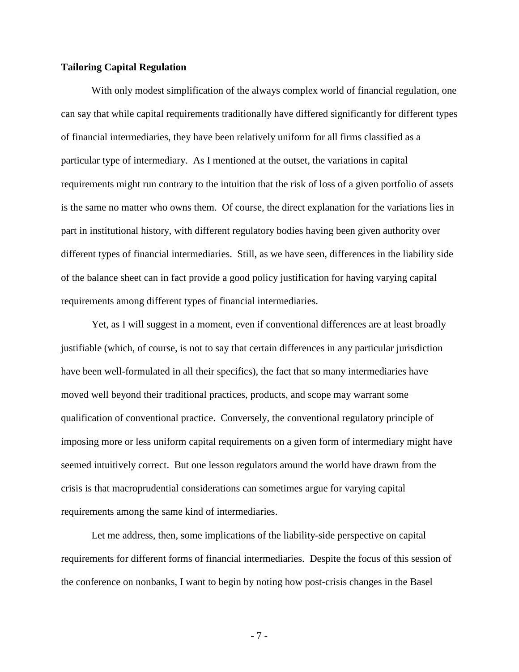## **Tailoring Capital Regulation**

With only modest simplification of the always complex world of financial regulation, one can say that while capital requirements traditionally have differed significantly for different types of financial intermediaries, they have been relatively uniform for all firms classified as a particular type of intermediary. As I mentioned at the outset, the variations in capital requirements might run contrary to the intuition that the risk of loss of a given portfolio of assets is the same no matter who owns them. Of course, the direct explanation for the variations lies in part in institutional history, with different regulatory bodies having been given authority over different types of financial intermediaries. Still, as we have seen, differences in the liability side of the balance sheet can in fact provide a good policy justification for having varying capital requirements among different types of financial intermediaries.

Yet, as I will suggest in a moment, even if conventional differences are at least broadly justifiable (which, of course, is not to say that certain differences in any particular jurisdiction have been well-formulated in all their specifics), the fact that so many intermediaries have moved well beyond their traditional practices, products, and scope may warrant some qualification of conventional practice. Conversely, the conventional regulatory principle of imposing more or less uniform capital requirements on a given form of intermediary might have seemed intuitively correct. But one lesson regulators around the world have drawn from the crisis is that macroprudential considerations can sometimes argue for varying capital requirements among the same kind of intermediaries.

Let me address, then, some implications of the liability-side perspective on capital requirements for different forms of financial intermediaries. Despite the focus of this session of the conference on nonbanks, I want to begin by noting how post-crisis changes in the Basel

- 7 -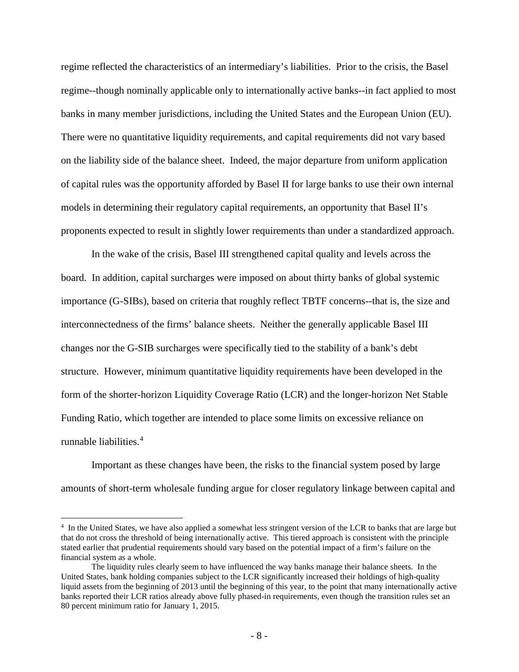regime reflected the characteristics of an intermediary's liabilities. Prior to the crisis, the Basel regime--though nominally applicable only to internationally active banks--in fact applied to most banks in many member jurisdictions, including the United States and the European Union (EU). There were no quantitative liquidity requirements, and capital requirements did not vary based on the liability side of the balance sheet. Indeed, the major departure from uniform application of capital rules was the opportunity afforded by Basel II for large banks to use their own internal models in determining their regulatory capital requirements, an opportunity that Basel II's proponents expected to result in slightly lower requirements than under a standardized approach.

In the wake of the crisis, Basel III strengthened capital quality and levels across the board. In addition, capital surcharges were imposed on about thirty banks of global systemic importance (G-SIBs), based on criteria that roughly reflect TBTF concerns--that is, the size and interconnectedness of the firms' balance sheets. Neither the generally applicable Basel III changes nor the G-SIB surcharges were specifically tied to the stability of a bank's debt structure. However, minimum quantitative liquidity requirements have been developed in the form of the shorter-horizon Liquidity Coverage Ratio (LCR) and the longer-horizon Net Stable Funding Ratio, which together are intended to place some limits on excessive reliance on runnable liabilities. [4](#page-8-0)

Important as these changes have been, the risks to the financial system posed by large amounts of short-term wholesale funding argue for closer regulatory linkage between capital and

<span id="page-8-0"></span> $\frac{1}{4}$ <sup>4</sup> In the United States, we have also applied a somewhat less stringent version of the LCR to banks that are large but that do not cross the threshold of being internationally active. This tiered approach is consistent with the principle stated earlier that prudential requirements should vary based on the potential impact of a firm's failure on the financial system as a whole.

The liquidity rules clearly seem to have influenced the way banks manage their balance sheets. In the United States, bank holding companies subject to the LCR significantly increased their holdings of high-quality liquid assets from the beginning of 2013 until the beginning of this year, to the point that many internationally active banks reported their LCR ratios already above fully phased-in requirements, even though the transition rules set an 80 percent minimum ratio for January 1, 2015.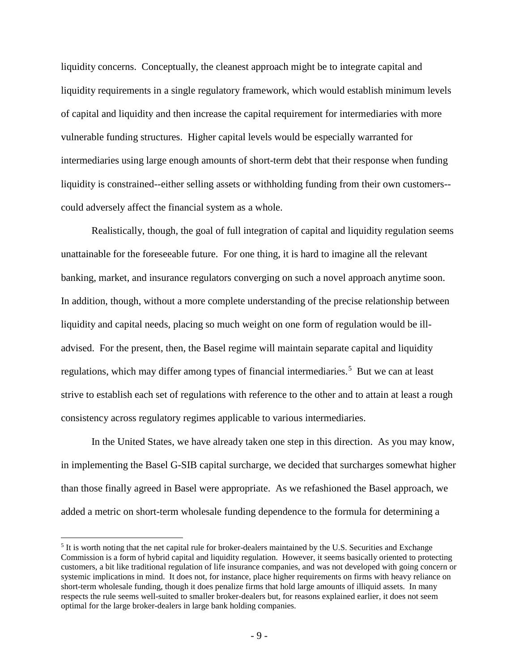liquidity concerns. Conceptually, the cleanest approach might be to integrate capital and liquidity requirements in a single regulatory framework, which would establish minimum levels of capital and liquidity and then increase the capital requirement for intermediaries with more vulnerable funding structures. Higher capital levels would be especially warranted for intermediaries using large enough amounts of short-term debt that their response when funding liquidity is constrained--either selling assets or withholding funding from their own customers- could adversely affect the financial system as a whole.

Realistically, though, the goal of full integration of capital and liquidity regulation seems unattainable for the foreseeable future. For one thing, it is hard to imagine all the relevant banking, market, and insurance regulators converging on such a novel approach anytime soon. In addition, though, without a more complete understanding of the precise relationship between liquidity and capital needs, placing so much weight on one form of regulation would be illadvised. For the present, then, the Basel regime will maintain separate capital and liquidity regulations, which may differ among types of financial intermediaries.<sup>[5](#page-9-0)</sup> But we can at least strive to establish each set of regulations with reference to the other and to attain at least a rough consistency across regulatory regimes applicable to various intermediaries.

In the United States, we have already taken one step in this direction. As you may know, in implementing the Basel G-SIB capital surcharge, we decided that surcharges somewhat higher than those finally agreed in Basel were appropriate. As we refashioned the Basel approach, we added a metric on short-term wholesale funding dependence to the formula for determining a

<span id="page-9-0"></span><sup>&</sup>lt;sup>5</sup> It is worth noting that the net capital rule for broker-dealers maintained by the U.S. Securities and Exchange Commission is a form of hybrid capital and liquidity regulation. However, it seems basically oriented to protecting customers, a bit like traditional regulation of life insurance companies, and was not developed with going concern or systemic implications in mind. It does not, for instance, place higher requirements on firms with heavy reliance on short-term wholesale funding, though it does penalize firms that hold large amounts of illiquid assets. In many respects the rule seems well-suited to smaller broker-dealers but, for reasons explained earlier, it does not seem optimal for the large broker-dealers in large bank holding companies.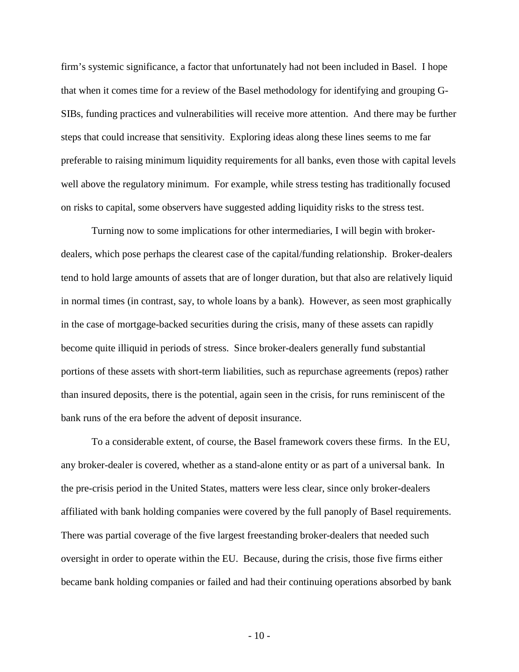firm's systemic significance, a factor that unfortunately had not been included in Basel. I hope that when it comes time for a review of the Basel methodology for identifying and grouping G-SIBs, funding practices and vulnerabilities will receive more attention. And there may be further steps that could increase that sensitivity. Exploring ideas along these lines seems to me far preferable to raising minimum liquidity requirements for all banks, even those with capital levels well above the regulatory minimum. For example, while stress testing has traditionally focused on risks to capital, some observers have suggested adding liquidity risks to the stress test.

Turning now to some implications for other intermediaries, I will begin with brokerdealers, which pose perhaps the clearest case of the capital/funding relationship. Broker-dealers tend to hold large amounts of assets that are of longer duration, but that also are relatively liquid in normal times (in contrast, say, to whole loans by a bank). However, as seen most graphically in the case of mortgage-backed securities during the crisis, many of these assets can rapidly become quite illiquid in periods of stress. Since broker-dealers generally fund substantial portions of these assets with short-term liabilities, such as repurchase agreements (repos) rather than insured deposits, there is the potential, again seen in the crisis, for runs reminiscent of the bank runs of the era before the advent of deposit insurance.

To a considerable extent, of course, the Basel framework covers these firms. In the EU, any broker-dealer is covered, whether as a stand-alone entity or as part of a universal bank. In the pre-crisis period in the United States, matters were less clear, since only broker-dealers affiliated with bank holding companies were covered by the full panoply of Basel requirements. There was partial coverage of the five largest freestanding broker-dealers that needed such oversight in order to operate within the EU. Because, during the crisis, those five firms either became bank holding companies or failed and had their continuing operations absorbed by bank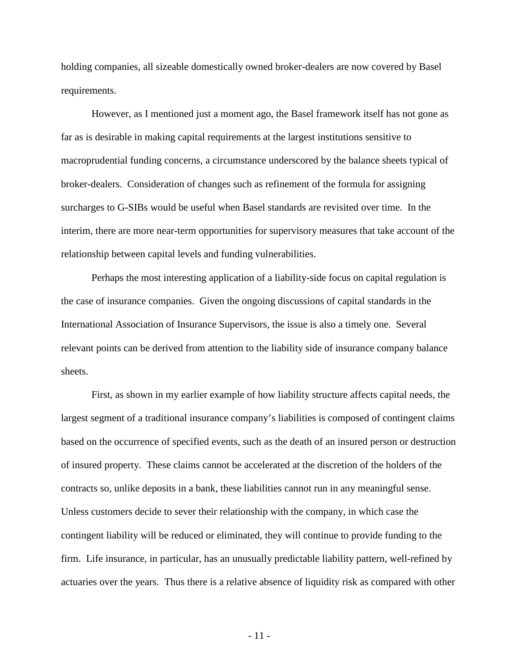holding companies, all sizeable domestically owned broker-dealers are now covered by Basel requirements.

However, as I mentioned just a moment ago, the Basel framework itself has not gone as far as is desirable in making capital requirements at the largest institutions sensitive to macroprudential funding concerns, a circumstance underscored by the balance sheets typical of broker-dealers. Consideration of changes such as refinement of the formula for assigning surcharges to G-SIBs would be useful when Basel standards are revisited over time. In the interim, there are more near-term opportunities for supervisory measures that take account of the relationship between capital levels and funding vulnerabilities.

Perhaps the most interesting application of a liability-side focus on capital regulation is the case of insurance companies. Given the ongoing discussions of capital standards in the International Association of Insurance Supervisors, the issue is also a timely one. Several relevant points can be derived from attention to the liability side of insurance company balance sheets.

First, as shown in my earlier example of how liability structure affects capital needs, the largest segment of a traditional insurance company's liabilities is composed of contingent claims based on the occurrence of specified events, such as the death of an insured person or destruction of insured property. These claims cannot be accelerated at the discretion of the holders of the contracts so, unlike deposits in a bank, these liabilities cannot run in any meaningful sense. Unless customers decide to sever their relationship with the company, in which case the contingent liability will be reduced or eliminated, they will continue to provide funding to the firm. Life insurance, in particular, has an unusually predictable liability pattern, well-refined by actuaries over the years. Thus there is a relative absence of liquidity risk as compared with other

- 11 -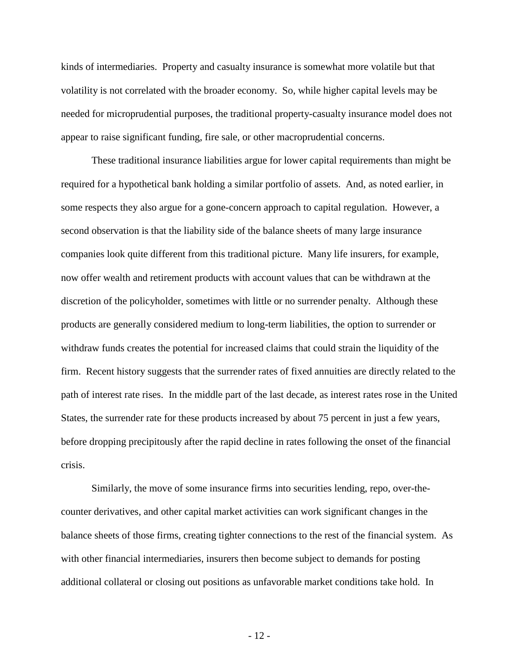kinds of intermediaries. Property and casualty insurance is somewhat more volatile but that volatility is not correlated with the broader economy. So, while higher capital levels may be needed for microprudential purposes, the traditional property-casualty insurance model does not appear to raise significant funding, fire sale, or other macroprudential concerns.

These traditional insurance liabilities argue for lower capital requirements than might be required for a hypothetical bank holding a similar portfolio of assets. And, as noted earlier, in some respects they also argue for a gone-concern approach to capital regulation. However, a second observation is that the liability side of the balance sheets of many large insurance companies look quite different from this traditional picture. Many life insurers, for example, now offer wealth and retirement products with account values that can be withdrawn at the discretion of the policyholder, sometimes with little or no surrender penalty. Although these products are generally considered medium to long-term liabilities, the option to surrender or withdraw funds creates the potential for increased claims that could strain the liquidity of the firm. Recent history suggests that the surrender rates of fixed annuities are directly related to the path of interest rate rises. In the middle part of the last decade, as interest rates rose in the United States, the surrender rate for these products increased by about 75 percent in just a few years, before dropping precipitously after the rapid decline in rates following the onset of the financial crisis.

Similarly, the move of some insurance firms into securities lending, repo, over-thecounter derivatives, and other capital market activities can work significant changes in the balance sheets of those firms, creating tighter connections to the rest of the financial system. As with other financial intermediaries, insurers then become subject to demands for posting additional collateral or closing out positions as unfavorable market conditions take hold. In

- 12 -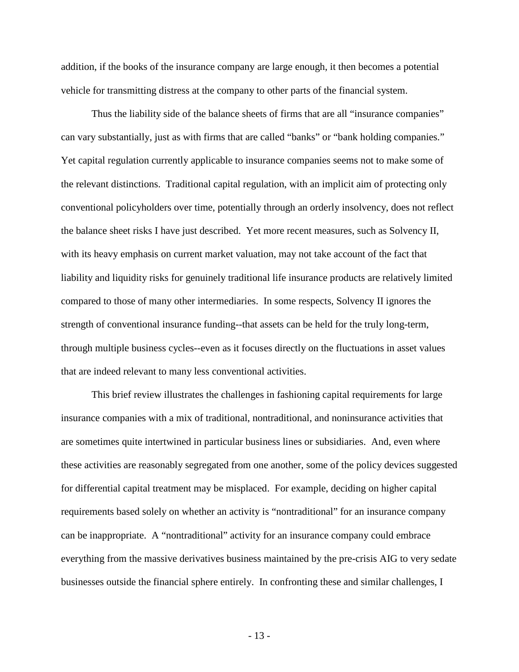addition, if the books of the insurance company are large enough, it then becomes a potential vehicle for transmitting distress at the company to other parts of the financial system.

Thus the liability side of the balance sheets of firms that are all "insurance companies" can vary substantially, just as with firms that are called "banks" or "bank holding companies." Yet capital regulation currently applicable to insurance companies seems not to make some of the relevant distinctions. Traditional capital regulation, with an implicit aim of protecting only conventional policyholders over time, potentially through an orderly insolvency, does not reflect the balance sheet risks I have just described. Yet more recent measures, such as Solvency II, with its heavy emphasis on current market valuation, may not take account of the fact that liability and liquidity risks for genuinely traditional life insurance products are relatively limited compared to those of many other intermediaries. In some respects, Solvency II ignores the strength of conventional insurance funding--that assets can be held for the truly long-term, through multiple business cycles--even as it focuses directly on the fluctuations in asset values that are indeed relevant to many less conventional activities.

This brief review illustrates the challenges in fashioning capital requirements for large insurance companies with a mix of traditional, nontraditional, and noninsurance activities that are sometimes quite intertwined in particular business lines or subsidiaries. And, even where these activities are reasonably segregated from one another, some of the policy devices suggested for differential capital treatment may be misplaced. For example, deciding on higher capital requirements based solely on whether an activity is "nontraditional" for an insurance company can be inappropriate. A "nontraditional" activity for an insurance company could embrace everything from the massive derivatives business maintained by the pre-crisis AIG to very sedate businesses outside the financial sphere entirely. In confronting these and similar challenges, I

- 13 -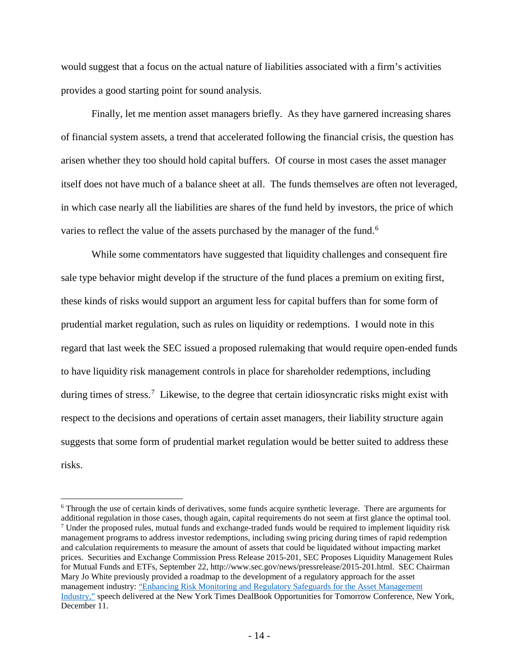would suggest that a focus on the actual nature of liabilities associated with a firm's activities provides a good starting point for sound analysis.

Finally, let me mention asset managers briefly. As they have garnered increasing shares of financial system assets, a trend that accelerated following the financial crisis, the question has arisen whether they too should hold capital buffers. Of course in most cases the asset manager itself does not have much of a balance sheet at all. The funds themselves are often not leveraged, in which case nearly all the liabilities are shares of the fund held by investors, the price of which varies to reflect the value of the assets purchased by the manager of the fund.<sup>[6](#page-14-0)</sup>

While some commentators have suggested that liquidity challenges and consequent fire sale type behavior might develop if the structure of the fund places a premium on exiting first, these kinds of risks would support an argument less for capital buffers than for some form of prudential market regulation, such as rules on liquidity or redemptions. I would note in this regard that last week the SEC issued a proposed rulemaking that would require open-ended funds to have liquidity risk management controls in place for shareholder redemptions, including during times of stress.<sup>[7](#page-14-1)</sup> Likewise, to the degree that certain idiosyncratic risks might exist with respect to the decisions and operations of certain asset managers, their liability structure again suggests that some form of prudential market regulation would be better suited to address these risks.

<span id="page-14-1"></span><span id="page-14-0"></span> <sup>6</sup> Through the use of certain kinds of derivatives, some funds acquire synthetic leverage. There are arguments for additional regulation in those cases, though again, capital requirements do not seem at first glance the optimal tool. <sup>7</sup> Under the proposed rules, mutual funds and exchange-traded funds would be required to implement liquidity risk management programs to address investor redemptions, including swing pricing during times of rapid redemption and calculation requirements to measure the amount of assets that could be liquidated without impacting market prices. Securities and Exchange Commission Press Release 2015-201, SEC Proposes Liquidity Management Rules for Mutual Funds and ETFs, September 22, http://www.sec.gov/news/pressrelease/2015-201.html. SEC Chairman Mary Jo White previously provided a roadmap to the development of a regulatory approach for the asset management industry[: "Enhancing Risk Monitoring and Regulatory Safeguards for the Asset Management](http://www.sec.gov/News/Speech/Detail/Speech/1370543677722%23.VMgSscnVtps)  [Industry,"](http://www.sec.gov/News/Speech/Detail/Speech/1370543677722%23.VMgSscnVtps) speech delivered at the New York Times DealBook Opportunities for Tomorrow Conference, New York, December 11.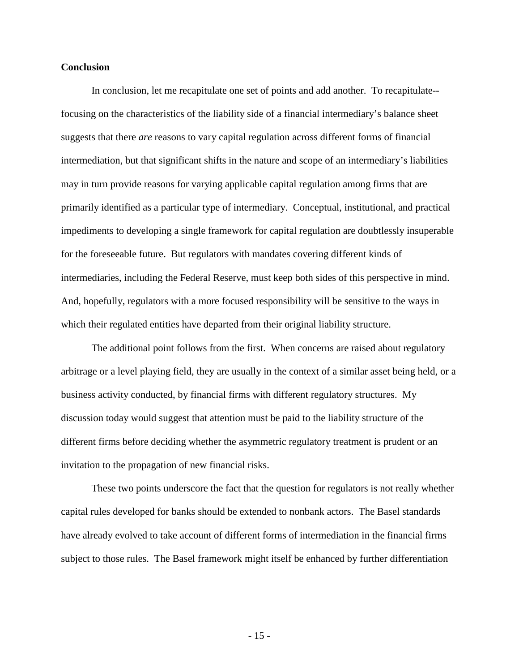## **Conclusion**

In conclusion, let me recapitulate one set of points and add another. To recapitulate- focusing on the characteristics of the liability side of a financial intermediary's balance sheet suggests that there *are* reasons to vary capital regulation across different forms of financial intermediation, but that significant shifts in the nature and scope of an intermediary's liabilities may in turn provide reasons for varying applicable capital regulation among firms that are primarily identified as a particular type of intermediary. Conceptual, institutional, and practical impediments to developing a single framework for capital regulation are doubtlessly insuperable for the foreseeable future. But regulators with mandates covering different kinds of intermediaries, including the Federal Reserve, must keep both sides of this perspective in mind. And, hopefully, regulators with a more focused responsibility will be sensitive to the ways in which their regulated entities have departed from their original liability structure.

The additional point follows from the first. When concerns are raised about regulatory arbitrage or a level playing field, they are usually in the context of a similar asset being held, or a business activity conducted, by financial firms with different regulatory structures. My discussion today would suggest that attention must be paid to the liability structure of the different firms before deciding whether the asymmetric regulatory treatment is prudent or an invitation to the propagation of new financial risks.

These two points underscore the fact that the question for regulators is not really whether capital rules developed for banks should be extended to nonbank actors. The Basel standards have already evolved to take account of different forms of intermediation in the financial firms subject to those rules. The Basel framework might itself be enhanced by further differentiation

- 15 -